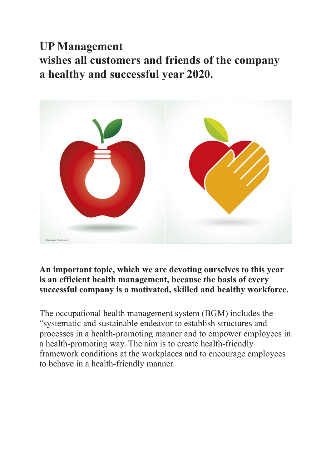## **UP Management**

**wishes all customers and friends of the company a healthy and successful year 2020.**



## **An important topic, which we are devoting ourselves to this year is an efficient health management, because the basis of every successful company is a motivated, skilled and healthy workforce.**

The occupational health management system (BGM) includes the "systematic and sustainable endeavor to establish structures and processes in a health-promoting manner and to empower employees in a health-promoting way. The aim is to create health-friendly framework conditions at the workplaces and to encourage employees to behave in a health-friendly manner.